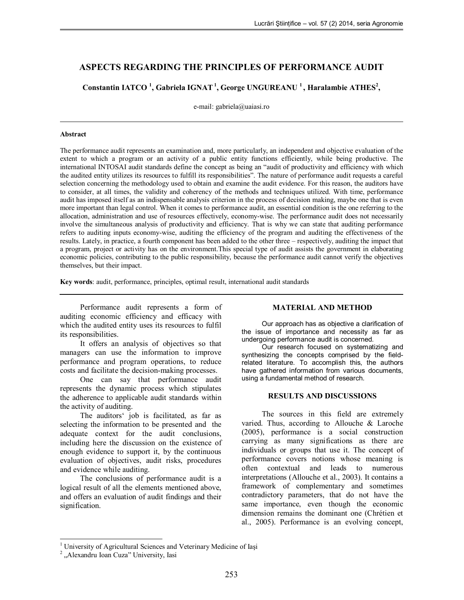# **ASPECTS REGARDING THE PRINCIPLES OF PERFORMANCE AUDIT**

**Constantin IATCO <sup>1</sup> , Gabriela IGNAT<sup>1</sup> , George UNGUREANU <sup>1</sup> , Haralambie ATHES<sup>2</sup> ,** 

e-mail: gabriela@uaiasi.ro

#### **Abstract**

The performance audit represents an examination and, more particularly, an independent and objective evaluation of the extent to which a program or an activity of a public entity functions efficiently, while being productive. The international INTOSAI audit standards define the concept as being an "audit of productivity and efficiency with which the audited entity utilizes its resources to fulfill its responsibilities". The nature of performance audit requests a careful selection concerning the methodology used to obtain and examine the audit evidence. For this reason, the auditors have to consider, at all times, the validity and coherency of the methods and techniques utilized. With time, performance audit has imposed itself as an indispensable analysis criterion in the process of decision making, maybe one that is even more important than legal control. When it comes to performance audit, an essential condition is the one referring to the allocation, administration and use of resources effectively, economy-wise. The performance audit does not necessarily involve the simultaneous analysis of productivity and efficiency. That is why we can state that auditing performance refers to auditing inputs economy-wise, auditing the efficiency of the program and auditing the effectiveness of the results. Lately, in practice, a fourth component has been added to the other three – respectively, auditing the impact that a program, project or activity has on the environment.This special type of audit assists the government in elaborating economic policies, contributing to the public responsibility, because the performance audit cannot verify the objectives themselves, but their impact.

**Key words**: audit, performance, principles, optimal result, international audit standards

Performance audit represents a form of auditing economic efficiency and efficacy with which the audited entity uses its resources to fulfil its responsibilities.

It offers an analysis of objectives so that managers can use the information to improve performance and program operations, to reduce costs and facilitate the decision-making processes.

One can say that performance audit represents the dynamic process which stipulates the adherence to applicable audit standards within the activity of auditing.

The auditors' job is facilitated, as far as selecting the information to be presented and the adequate context for the audit conclusions, including here the discussion on the existence of enough evidence to support it, by the continuous evaluation of objectives, audit risks, procedures and evidence while auditing.

The conclusions of performance audit is a logical result of all the elements mentioned above, and offers an evaluation of audit findings and their signification.

## **MATERIAL AND METHOD**

Our approach has as objective a clarification of the issue of importance and necessity as far as undergoing performance audit is concerned.

Our research focused on systematizing and synthesizing the concepts comprised by the fieldrelated literature. To accomplish this, the authors have gathered information from various documents, using a fundamental method of research.

## **RESULTS AND DISCUSSIONS**

The sources in this field are extremely varied. Thus, according to Allouche & Laroche (2005), performance is a social construction carrying as many significations as there are individuals or groups that use it. The concept of performance covers notions whose meaning is often contextual and leads to numerous interpretations (Allouche et al., 2003). It contains a framework of complementary and sometimes contradictory parameters, that do not have the same importance, even though the economic dimension remains the dominant one (Chrétien et al., 2005). Performance is an evolving concept,

 $\overline{a}$ <sup>1</sup> University of Agricultural Sciences and Veterinary Medicine of Iași

<sup>&</sup>lt;sup>2</sup> "Alexandru Ioan Cuza" University, Iasi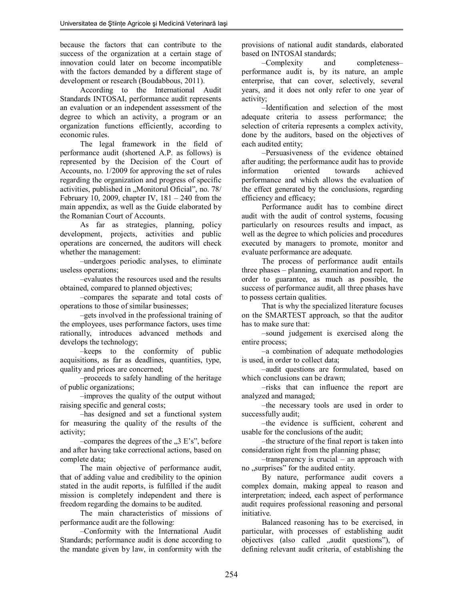because the factors that can contribute to the success of the organization at a certain stage of innovation could later on become incompatible with the factors demanded by a different stage of development or research (Boudabbous, 2011).

According to the International Audit Standards INTOSAI, performance audit represents an evaluation or an independent assessment of the degree to which an activity, a program or an organization functions efficiently, according to economic rules.

The legal framework in the field of performance audit (shortened A.P. as follows) is represented by the Decision of the Court of Accounts, no. 1/2009 for approving the set of rules regarding the organization and progress of specific activities, published in "Monitorul Oficial", no. 78/ February 10, 2009, chapter IV,  $181 - 240$  from the main appendix, as well as the Guide elaborated by the Romanian Court of Accounts.

As far as strategies, planning, policy development, projects, activities and public operations are concerned, the auditors will check whether the management:

–undergoes periodic analyses, to eliminate useless operations;

–evaluates the resources used and the results obtained, compared to planned objectives;

–compares the separate and total costs of operations to those of similar businesses;

–gets involved in the professional training of the employees, uses performance factors, uses time rationally, introduces advanced methods and develops the technology;

–keeps to the conformity of public acquisitions, as far as deadlines, quantities, type, quality and prices are concerned;

–proceeds to safely handling of the heritage of public organizations;

–improves the quality of the output without raising specific and general costs;

–has designed and set a functional system for measuring the quality of the results of the activity;

 $-$ compares the degrees of the  $, 3 \to 's''$ , before and after having take correctional actions, based on complete data;

The main objective of performance audit, that of adding value and credibility to the opinion stated in the audit reports, is fulfilled if the audit mission is completely independent and there is freedom regarding the domains to be audited.

The main characteristics of missions of performance audit are the following:

–Conformity with the International Audit Standards; performance audit is done according to the mandate given by law, in conformity with the provisions of national audit standards, elaborated based on INTOSAI standards;

–Complexity and completeness– performance audit is, by its nature, an ample enterprise, that can cover, selectively, several years, and it does not only refer to one year of activity;

–Identification and selection of the most adequate criteria to assess performance; the selection of criteria represents a complex activity, done by the auditors, based on the objectives of each audited entity;

–Persuasiveness of the evidence obtained after auditing; the performance audit has to provide information oriented towards achieved performance and which allows the evaluation of the effect generated by the conclusions, regarding efficiency and efficacy;

Performance audit has to combine direct audit with the audit of control systems, focusing particularly on resources results and impact, as well as the degree to which policies and procedures executed by managers to promote, monitor and evaluate performance are adequate.

The process of performance audit entails three phases – planning, examination and report. In order to guarantee, as much as possible, the success of performance audit, all three phases have to possess certain qualities.

That is why the specialized literature focuses on the SMARTEST approach, so that the auditor has to make sure that:

–sound judgement is exercised along the entire process;

–a combination of adequate methodologies is used, in order to collect data;

–audit questions are formulated, based on which conclusions can be drawn:

–risks that can influence the report are analyzed and managed;

–the necessary tools are used in order to successfully audit;

–the evidence is sufficient, coherent and usable for the conclusions of the audit;

–the structure of the final report is taken into consideration right from the planning phase;

–transparency is crucial – an approach with no "surprises" for the audited entity.

By nature, performance audit covers a complex domain, making appeal to reason and interpretation; indeed, each aspect of performance audit requires professional reasoning and personal initiative.

Balanced reasoning has to be exercised, in particular, with processes of establishing audit objectives (also called "audit questions"), of defining relevant audit criteria, of establishing the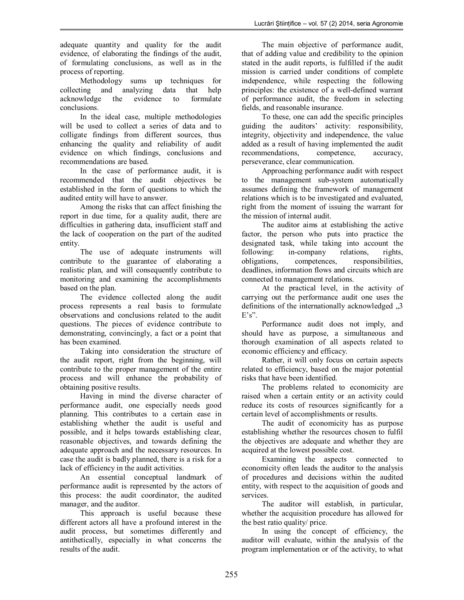adequate quantity and quality for the audit evidence, of elaborating the findings of the audit, of formulating conclusions, as well as in the process of reporting.

Methodology sums up techniques for collecting and analyzing data that help acknowledge the evidence to formulate conclusions.

In the ideal case, multiple methodologies will be used to collect a series of data and to colligate findings from different sources, thus enhancing the quality and reliability of audit evidence on which findings, conclusions and recommendations are based.

In the case of performance audit, it is recommended that the audit objectives be established in the form of questions to which the audited entity will have to answer.

Among the risks that can affect finishing the report in due time, for a quality audit, there are difficulties in gathering data, insufficient staff and the lack of cooperation on the part of the audited entity.

The use of adequate instruments will contribute to the guarantee of elaborating a realistic plan, and will consequently contribute to monitoring and examining the accomplishments based on the plan.

The evidence collected along the audit process represents a real basis to formulate observations and conclusions related to the audit questions. The pieces of evidence contribute to demonstrating, convincingly, a fact or a point that has been examined.

Taking into consideration the structure of the audit report, right from the beginning, will contribute to the proper management of the entire process and will enhance the probability of obtaining positive results.

Having in mind the diverse character of performance audit, one especially needs good planning. This contributes to a certain ease in establishing whether the audit is useful and possible, and it helps towards establishing clear, reasonable objectives, and towards defining the adequate approach and the necessary resources. In case the audit is badly planned, there is a risk for a lack of efficiency in the audit activities.

An essential conceptual landmark of performance audit is represented by the actors of this process: the audit coordinator, the audited manager, and the auditor.

This approach is useful because these different actors all have a profound interest in the audit process, but sometimes differently and antithetically, especially in what concerns the results of the audit.

The main objective of performance audit, that of adding value and credibility to the opinion stated in the audit reports, is fulfilled if the audit mission is carried under conditions of complete independence, while respecting the following principles: the existence of a well-defined warrant of performance audit, the freedom in selecting fields, and reasonable insurance.

To these, one can add the specific principles guiding the auditors' activity: responsibility, integrity, objectivity and independence, the value added as a result of having implemented the audit recommendations, competence, accuracy, perseverance, clear communication.

Approaching performance audit with respect to the management sub-system automatically assumes defining the framework of management relations which is to be investigated and evaluated, right from the moment of issuing the warrant for the mission of internal audit.

The auditor aims at establishing the active factor, the person who puts into practice the designated task, while taking into account the following: in-company relations, rights, obligations, competences, responsibilities, deadlines, information flows and circuits which are connected to management relations.

At the practical level, in the activity of carrying out the performance audit one uses the definitions of the internationally acknowledged  $\overline{3}$  $E's$ ".

Performance audit does not imply, and should have as purpose, a simultaneous and thorough examination of all aspects related to economic efficiency and efficacy.

Rather, it will only focus on certain aspects related to efficiency, based on the major potential risks that have been identified.

The problems related to economicity are raised when a certain entity or an activity could reduce its costs of resources significantly for a certain level of accomplishments or results.

The audit of economicity has as purpose establishing whether the resources chosen to fulfil the objectives are adequate and whether they are acquired at the lowest possible cost.

Examining the aspects connected to economicity often leads the auditor to the analysis of procedures and decisions within the audited entity, with respect to the acquisition of goods and services.

The auditor will establish, in particular, whether the acquisition procedure has allowed for the best ratio quality/ price.

In using the concept of efficiency, the auditor will evaluate, within the analysis of the program implementation or of the activity, to what